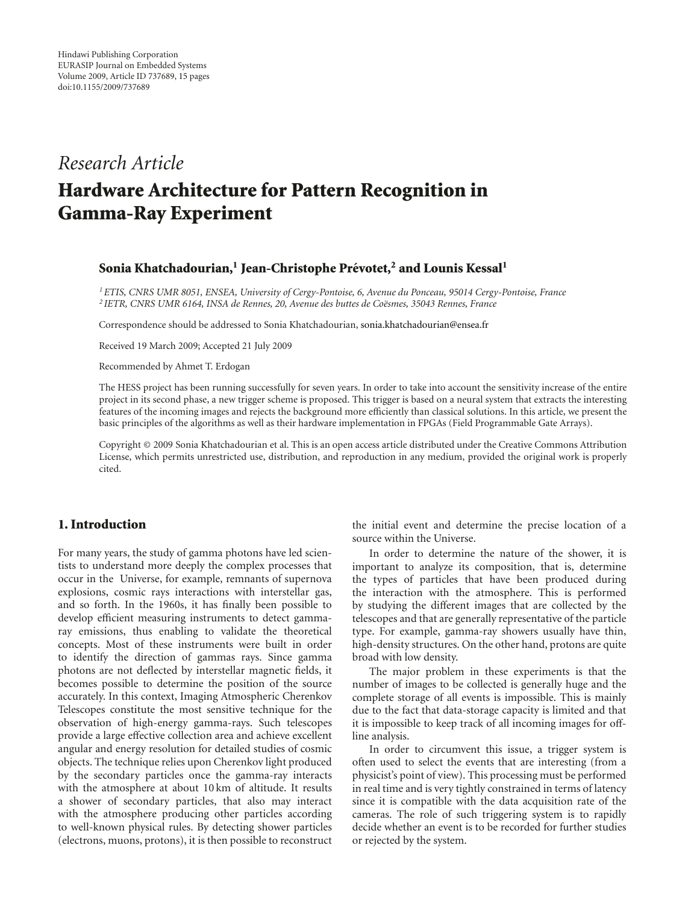# *Research Article*

# **Hardware Architecture for Pattern Recognition in Gamma-Ray Experiment**

# **Sonia Khatchadourian,1 Jean-Christophe Prevotet, ´ <sup>2</sup> and Lounis Kessal1**

*1ETIS, CNRS UMR 8051, ENSEA, University of Cergy-Pontoise, 6, Avenue du Ponceau, 95014 Cergy-Pontoise, France* <sup>2</sup> IETR, CNRS UMR 6164, INSA de Rennes, 20, Avenue des buttes de Coësmes, 35043 Rennes, France

Correspondence should be addressed to Sonia Khatchadourian, sonia.khatchadourian@ensea.fr

Received 19 March 2009; Accepted 21 July 2009

Recommended by Ahmet T. Erdogan

The HESS project has been running successfully for seven years. In order to take into account the sensitivity increase of the entire project in its second phase, a new trigger scheme is proposed. This trigger is based on a neural system that extracts the interesting features of the incoming images and rejects the background more efficiently than classical solutions. In this article, we present the basic principles of the algorithms as well as their hardware implementation in FPGAs (Field Programmable Gate Arrays).

Copyright © 2009 Sonia Khatchadourian et al. This is an open access article distributed under the Creative Commons Attribution License, which permits unrestricted use, distribution, and reproduction in any medium, provided the original work is properly cited.

# **1. Introduction**

For many years, the study of gamma photons have led scientists to understand more deeply the complex processes that occur in the Universe, for example, remnants of supernova explosions, cosmic rays interactions with interstellar gas, and so forth. In the 1960s, it has finally been possible to develop efficient measuring instruments to detect gammaray emissions, thus enabling to validate the theoretical concepts. Most of these instruments were built in order to identify the direction of gammas rays. Since gamma photons are not deflected by interstellar magnetic fields, it becomes possible to determine the position of the source accurately. In this context, Imaging Atmospheric Cherenkov Telescopes constitute the most sensitive technique for the observation of high-energy gamma-rays. Such telescopes provide a large effective collection area and achieve excellent angular and energy resolution for detailed studies of cosmic objects. The technique relies upon Cherenkov light produced by the secondary particles once the gamma-ray interacts with the atmosphere at about 10 km of altitude. It results a shower of secondary particles, that also may interact with the atmosphere producing other particles according to well-known physical rules. By detecting shower particles (electrons, muons, protons), it is then possible to reconstruct

the initial event and determine the precise location of a source within the Universe.

In order to determine the nature of the shower, it is important to analyze its composition, that is, determine the types of particles that have been produced during the interaction with the atmosphere. This is performed by studying the different images that are collected by the telescopes and that are generally representative of the particle type. For example, gamma-ray showers usually have thin, high-density structures. On the other hand, protons are quite broad with low density.

The major problem in these experiments is that the number of images to be collected is generally huge and the complete storage of all events is impossible. This is mainly due to the fact that data-storage capacity is limited and that it is impossible to keep track of all incoming images for offline analysis.

In order to circumvent this issue, a trigger system is often used to select the events that are interesting (from a physicist's point of view). This processing must be performed in real time and is very tightly constrained in terms of latency since it is compatible with the data acquisition rate of the cameras. The role of such triggering system is to rapidly decide whether an event is to be recorded for further studies or rejected by the system.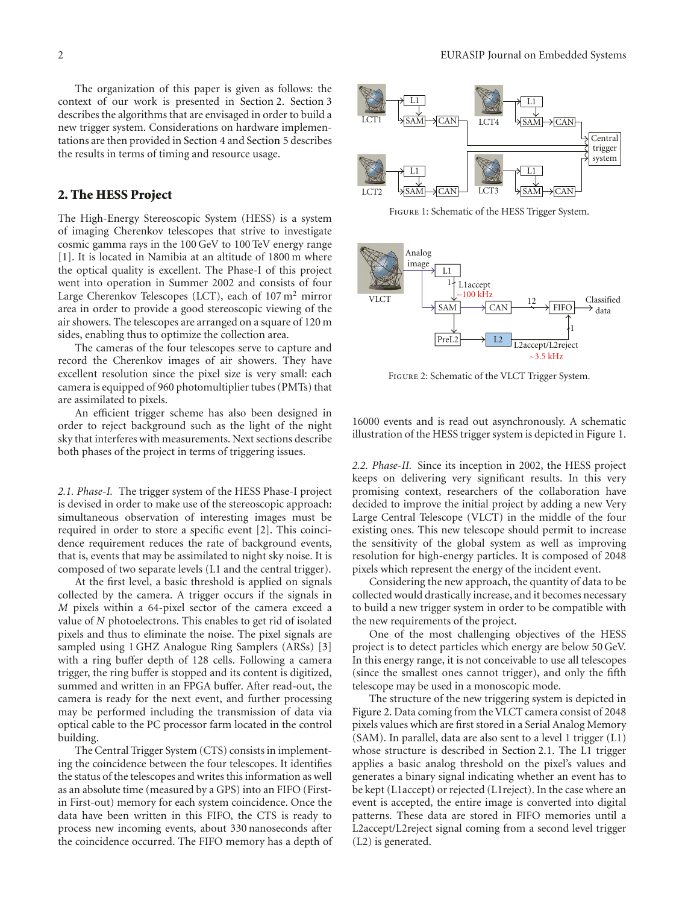The organization of this paper is given as follows: the context of our work is presented in Section 2. Section 3 describes the algorithms that are envisaged in order to build a new trigger system. Considerations on hardware implementations are then provided in Section 4 and Section 5 describes the results in terms of timing and resource usage.

# **2. The HESS Project**

The High-Energy Stereoscopic System (HESS) is a system of imaging Cherenkov telescopes that strive to investigate cosmic gamma rays in the 100 GeV to 100 TeV energy range [1]. It is located in Namibia at an altitude of 1800 m where the optical quality is excellent. The Phase-I of this project went into operation in Summer 2002 and consists of four Large Cherenkov Telescopes (LCT), each of  $107 \text{ m}^2$  mirror area in order to provide a good stereoscopic viewing of the air showers. The telescopes are arranged on a square of 120 m sides, enabling thus to optimize the collection area.

The cameras of the four telescopes serve to capture and record the Cherenkov images of air showers. They have excellent resolution since the pixel size is very small: each camera is equipped of 960 photomultiplier tubes (PMTs) that are assimilated to pixels.

An efficient trigger scheme has also been designed in order to reject background such as the light of the night sky that interferes with measurements. Next sections describe both phases of the project in terms of triggering issues.

*2.1. Phase-I.* The trigger system of the HESS Phase-I project is devised in order to make use of the stereoscopic approach: simultaneous observation of interesting images must be required in order to store a specific event [2]. This coincidence requirement reduces the rate of background events, that is, events that may be assimilated to night sky noise. It is composed of two separate levels (L1 and the central trigger).

At the first level, a basic threshold is applied on signals collected by the camera. A trigger occurs if the signals in *M* pixels within a 64-pixel sector of the camera exceed a value of *N* photoelectrons. This enables to get rid of isolated pixels and thus to eliminate the noise. The pixel signals are sampled using 1 GHZ Analogue Ring Samplers (ARSs) [3] with a ring buffer depth of 128 cells. Following a camera trigger, the ring buffer is stopped and its content is digitized, summed and written in an FPGA buffer. After read-out, the camera is ready for the next event, and further processing may be performed including the transmission of data via optical cable to the PC processor farm located in the control building.

The Central Trigger System (CTS) consists in implementing the coincidence between the four telescopes. It identifies the status of the telescopes and writes this information as well as an absolute time (measured by a GPS) into an FIFO (Firstin First-out) memory for each system coincidence. Once the data have been written in this FIFO, the CTS is ready to process new incoming events, about 330 nanoseconds after the coincidence occurred. The FIFO memory has a depth of



Figure 1: Schematic of the HESS Trigger System.



Figure 2: Schematic of the VLCT Trigger System.

16000 events and is read out asynchronously. A schematic illustration of the HESS trigger system is depicted in Figure 1.

*2.2. Phase-II.* Since its inception in 2002, the HESS project keeps on delivering very significant results. In this very promising context, researchers of the collaboration have decided to improve the initial project by adding a new Very Large Central Telescope (VLCT) in the middle of the four existing ones. This new telescope should permit to increase the sensitivity of the global system as well as improving resolution for high-energy particles. It is composed of 2048 pixels which represent the energy of the incident event.

Considering the new approach, the quantity of data to be collected would drastically increase, and it becomes necessary to build a new trigger system in order to be compatible with the new requirements of the project.

One of the most challenging objectives of the HESS project is to detect particles which energy are below 50 GeV. In this energy range, it is not conceivable to use all telescopes (since the smallest ones cannot trigger), and only the fifth telescope may be used in a monoscopic mode.

The structure of the new triggering system is depicted in Figure 2. Data coming from the VLCT camera consist of 2048 pixels values which are first stored in a Serial Analog Memory (SAM). In parallel, data are also sent to a level 1 trigger (L1) whose structure is described in Section 2.1. The L1 trigger applies a basic analog threshold on the pixel's values and generates a binary signal indicating whether an event has to be kept (L1accept) or rejected (L1reject). In the case where an event is accepted, the entire image is converted into digital patterns. These data are stored in FIFO memories until a L2accept/L2reject signal coming from a second level trigger (L2) is generated.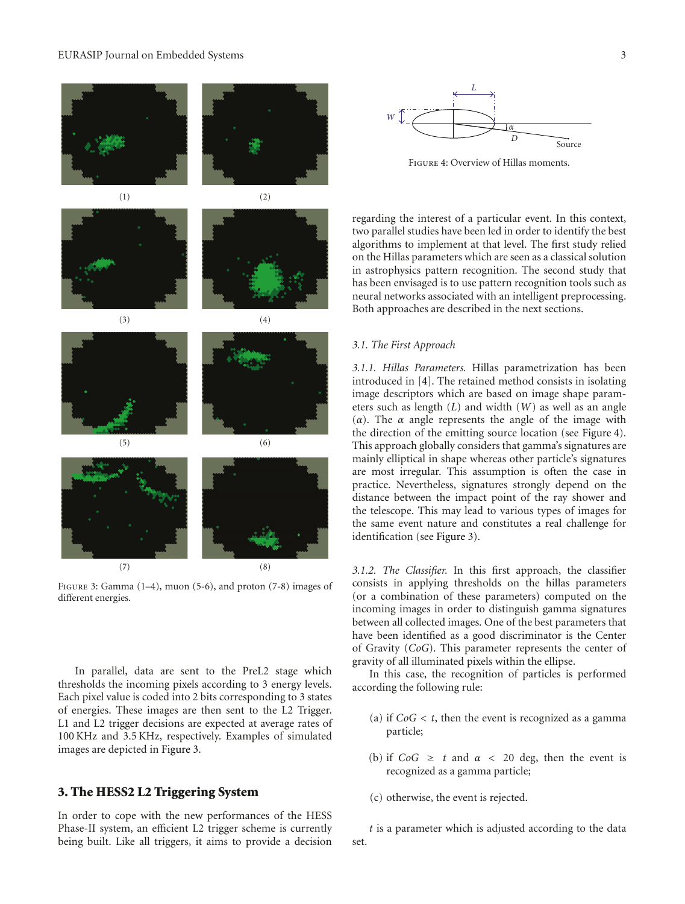#### EURASIP Journal on Embedded Systems 3



Figure 4: Overview of Hillas moments.

regarding the interest of a particular event. In this context, two parallel studies have been led in order to identify the best algorithms to implement at that level. The first study relied on the Hillas parameters which are seen as a classical solution in astrophysics pattern recognition. The second study that has been envisaged is to use pattern recognition tools such as neural networks associated with an intelligent preprocessing. Both approaches are described in the next sections.

#### *3.1. The First Approach*

*3.1.1. Hillas Parameters.* Hillas parametrization has been introduced in [4]. The retained method consists in isolating image descriptors which are based on image shape parameters such as length (*L*) and width (*W*) as well as an angle (*α*). The *α* angle represents the angle of the image with the direction of the emitting source location (see Figure 4). This approach globally considers that gamma's signatures are mainly elliptical in shape whereas other particle's signatures are most irregular. This assumption is often the case in practice. Nevertheless, signatures strongly depend on the distance between the impact point of the ray shower and the telescope. This may lead to various types of images for the same event nature and constitutes a real challenge for identification (see Figure 3).

*3.1.2. The Classifier.* In this first approach, the classifier consists in applying thresholds on the hillas parameters (or a combination of these parameters) computed on the incoming images in order to distinguish gamma signatures between all collected images. One of the best parameters that have been identified as a good discriminator is the Center of Gravity (*CoG*). This parameter represents the center of gravity of all illuminated pixels within the ellipse.

In this case, the recognition of particles is performed according the following rule:

- (a) if  $CoG < t$ , then the event is recognized as a gamma particle;
- (b) if  $CoG \geq t$  and  $\alpha < 20$  deg, then the event is recognized as a gamma particle;
- (c) otherwise, the event is rejected.

*t* is a parameter which is adjusted according to the data set.



Figure 3: Gamma (1–4), muon (5-6), and proton (7-8) images of different energies.

In parallel, data are sent to the PreL2 stage which thresholds the incoming pixels according to 3 energy levels. Each pixel value is coded into 2 bits corresponding to 3 states of energies. These images are then sent to the L2 Trigger. L1 and L2 trigger decisions are expected at average rates of 100 KHz and 3.5 KHz, respectively. Examples of simulated images are depicted in Figure 3.

#### **3. The HESS2 L2 Triggering System**

In order to cope with the new performances of the HESS Phase-II system, an efficient L2 trigger scheme is currently being built. Like all triggers, it aims to provide a decision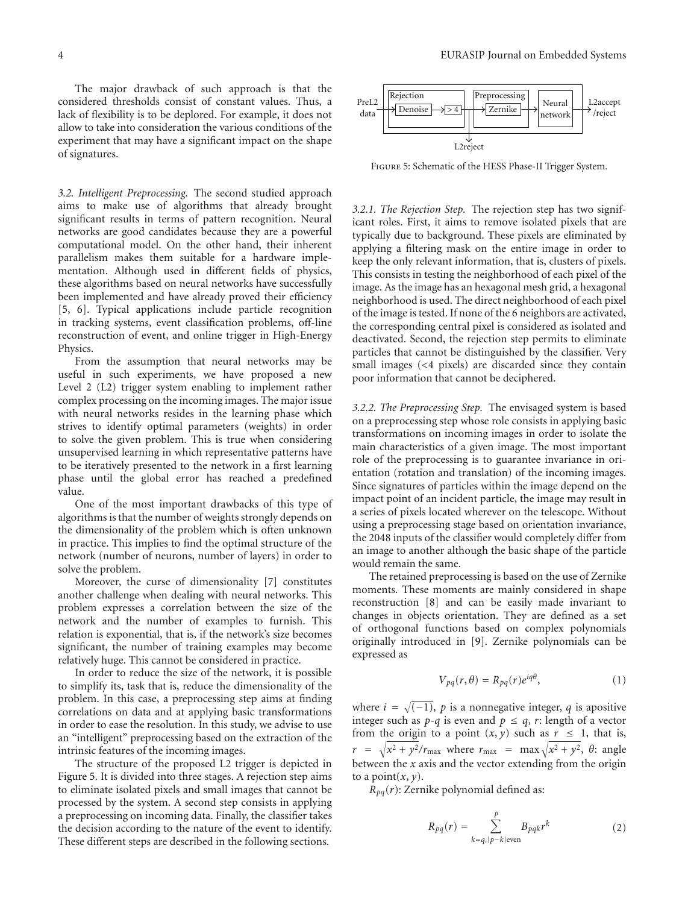The major drawback of such approach is that the considered thresholds consist of constant values. Thus, a lack of flexibility is to be deplored. For example, it does not allow to take into consideration the various conditions of the experiment that may have a significant impact on the shape of signatures.

*3.2. Intelligent Preprocessing.* The second studied approach aims to make use of algorithms that already brought significant results in terms of pattern recognition. Neural networks are good candidates because they are a powerful computational model. On the other hand, their inherent parallelism makes them suitable for a hardware implementation. Although used in different fields of physics, these algorithms based on neural networks have successfully been implemented and have already proved their efficiency [5, 6]. Typical applications include particle recognition in tracking systems, event classification problems, off-line reconstruction of event, and online trigger in High-Energy Physics.

From the assumption that neural networks may be useful in such experiments, we have proposed a new Level 2 (L2) trigger system enabling to implement rather complex processing on the incoming images. The major issue with neural networks resides in the learning phase which strives to identify optimal parameters (weights) in order to solve the given problem. This is true when considering unsupervised learning in which representative patterns have to be iteratively presented to the network in a first learning phase until the global error has reached a predefined value.

One of the most important drawbacks of this type of algorithms is that the number of weights strongly depends on the dimensionality of the problem which is often unknown in practice. This implies to find the optimal structure of the network (number of neurons, number of layers) in order to solve the problem.

Moreover, the curse of dimensionality [7] constitutes another challenge when dealing with neural networks. This problem expresses a correlation between the size of the network and the number of examples to furnish. This relation is exponential, that is, if the network's size becomes significant, the number of training examples may become relatively huge. This cannot be considered in practice.

In order to reduce the size of the network, it is possible to simplify its, task that is, reduce the dimensionality of the problem. In this case, a preprocessing step aims at finding correlations on data and at applying basic transformations in order to ease the resolution. In this study, we advise to use an "intelligent" preprocessing based on the extraction of the intrinsic features of the incoming images.

The structure of the proposed L2 trigger is depicted in Figure 5. It is divided into three stages. A rejection step aims to eliminate isolated pixels and small images that cannot be processed by the system. A second step consists in applying a preprocessing on incoming data. Finally, the classifier takes the decision according to the nature of the event to identify. These different steps are described in the following sections.



Figure 5: Schematic of the HESS Phase-II Trigger System.

*3.2.1. The Rejection Step.* The rejection step has two significant roles. First, it aims to remove isolated pixels that are typically due to background. These pixels are eliminated by applying a filtering mask on the entire image in order to keep the only relevant information, that is, clusters of pixels. This consists in testing the neighborhood of each pixel of the image. As the image has an hexagonal mesh grid, a hexagonal neighborhood is used. The direct neighborhood of each pixel of the image is tested. If none of the 6 neighbors are activated, the corresponding central pixel is considered as isolated and deactivated. Second, the rejection step permits to eliminate particles that cannot be distinguished by the classifier. Very small images (*<*4 pixels) are discarded since they contain poor information that cannot be deciphered.

*3.2.2. The Preprocessing Step.* The envisaged system is based on a preprocessing step whose role consists in applying basic transformations on incoming images in order to isolate the main characteristics of a given image. The most important role of the preprocessing is to guarantee invariance in orientation (rotation and translation) of the incoming images. Since signatures of particles within the image depend on the impact point of an incident particle, the image may result in a series of pixels located wherever on the telescope. Without using a preprocessing stage based on orientation invariance, the 2048 inputs of the classifier would completely differ from an image to another although the basic shape of the particle would remain the same.

The retained preprocessing is based on the use of Zernike moments. These moments are mainly considered in shape reconstruction [8] and can be easily made invariant to changes in objects orientation. They are defined as a set of orthogonal functions based on complex polynomials originally introduced in [9]. Zernike polynomials can be expressed as

$$
V_{pq}(r,\theta) = R_{pq}(r)e^{iq\theta},\qquad(1)
$$

where  $i = \sqrt{(-1)}$ ,  $p$  is a nonnegative integer,  $q$  is apositive integer such as  $p-q$  is even and  $p \leq q$ , *r*: length of a vector from the origin to a point  $(x, y)$  such as  $r \leq 1$ , that is,  $r = \sqrt{x^2 + y^2}/r_{\text{max}}$  where  $r_{\text{max}} = \max \sqrt{x^2 + y^2}$ ,  $\theta$ : angle between the *x* axis and the vector extending from the origin to a point $(x, y)$ .

 $R_{pq}(r)$ : Zernike polynomial defined as:

$$
R_{pq}(r) = \sum_{k=q,|p-k|\text{even}}^p B_{pqk} r^k
$$
 (2)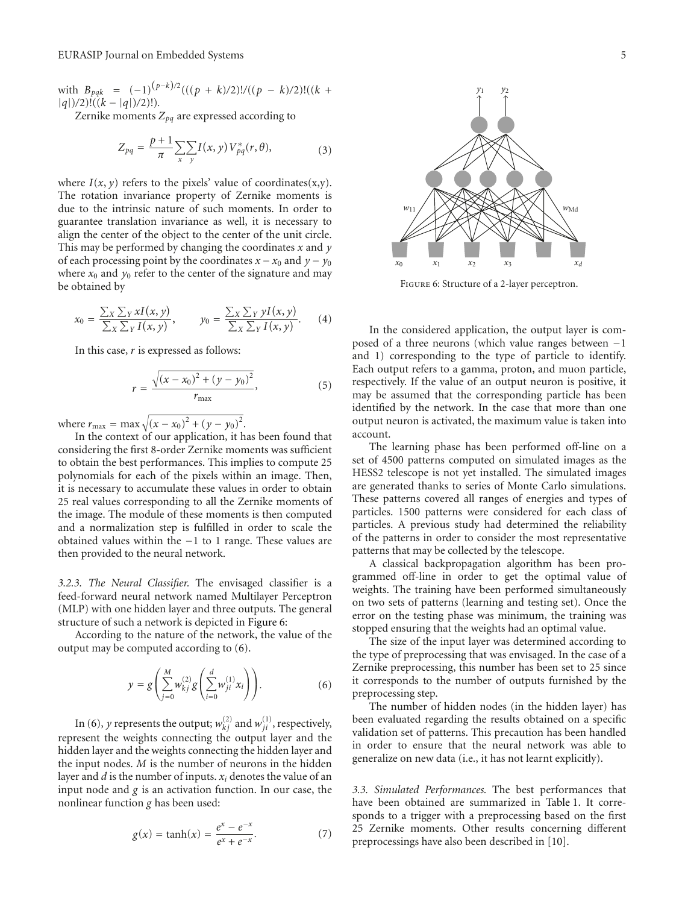with  $B_{pqk} = (-1)^{(p-k)/2}(((p+k)/2)!/((p-k)/2)!((k+k)/2)!)/(k+k)$ |*q*|)*/*2)!((*k* − |*q*|)*/*2)!)*.*

Zernike moments  $Z_{pq}$  are expressed according to

$$
Z_{pq} = \frac{p+1}{\pi} \sum_{x} \sum_{y} I(x, y) V_{pq}^{*}(r, \theta), \tag{3}
$$

where  $I(x, y)$  refers to the pixels' value of coordinates(x,y). The rotation invariance property of Zernike moments is due to the intrinsic nature of such moments. In order to guarantee translation invariance as well, it is necessary to align the center of the object to the center of the unit circle. This may be performed by changing the coordinates *x* and *y* of each processing point by the coordinates  $x - x_0$  and  $y - y_0$ where  $x_0$  and  $y_0$  refer to the center of the signature and may be obtained by

$$
x_0 = \frac{\sum_X \sum_Y xI(x, y)}{\sum_X \sum_Y I(x, y)}, \qquad y_0 = \frac{\sum_X \sum_Y yI(x, y)}{\sum_X \sum_Y I(x, y)}.
$$
 (4)

In this case, *r* is expressed as follows:

$$
r = \frac{\sqrt{(x - x_0)^2 + (y - y_0)^2}}{r_{\text{max}}},
$$
\n(5)

where  $r_{\text{max}} = \max \sqrt{(x - x_0)^2 + (y - y_0)^2}$ .

In the context of our application, it has been found that considering the first 8-order Zernike moments was sufficient to obtain the best performances. This implies to compute 25 polynomials for each of the pixels within an image. Then, it is necessary to accumulate these values in order to obtain 25 real values corresponding to all the Zernike moments of the image. The module of these moments is then computed and a normalization step is fulfilled in order to scale the obtained values within the −1 to 1 range. These values are then provided to the neural network.

*3.2.3. The Neural Classifier.* The envisaged classifier is a feed-forward neural network named Multilayer Perceptron (MLP) with one hidden layer and three outputs. The general structure of such a network is depicted in Figure 6:

According to the nature of the network, the value of the output may be computed according to (6).

$$
y = g\left(\sum_{j=0}^{M} w_{kj}^{(2)} g\left(\sum_{i=0}^{d} w_{ji}^{(1)} x_i\right)\right).
$$
 (6)

In (6), *y* represents the output;  $w_{kj}^{(2)}$  and  $w_{ji}^{(1)}$ , respectively, represent the weights connecting the output layer and the hidden layer and the weights connecting the hidden layer and the input nodes. *M* is the number of neurons in the hidden layer and *d* is the number of inputs. *xi* denotes the value of an input node and *g* is an activation function. In our case, the nonlinear function *g* has been used:

$$
g(x) = \tanh(x) = \frac{e^x - e^{-x}}{e^x + e^{-x}}.
$$
 (7)



Figure 6: Structure of a 2-layer perceptron.

In the considered application, the output layer is composed of a three neurons (which value ranges between −1 and 1) corresponding to the type of particle to identify. Each output refers to a gamma, proton, and muon particle, respectively. If the value of an output neuron is positive, it may be assumed that the corresponding particle has been identified by the network. In the case that more than one output neuron is activated, the maximum value is taken into account.

The learning phase has been performed off-line on a set of 4500 patterns computed on simulated images as the HESS2 telescope is not yet installed. The simulated images are generated thanks to series of Monte Carlo simulations. These patterns covered all ranges of energies and types of particles. 1500 patterns were considered for each class of particles. A previous study had determined the reliability of the patterns in order to consider the most representative patterns that may be collected by the telescope.

A classical backpropagation algorithm has been programmed off-line in order to get the optimal value of weights. The training have been performed simultaneously on two sets of patterns (learning and testing set). Once the error on the testing phase was minimum, the training was stopped ensuring that the weights had an optimal value.

The size of the input layer was determined according to the type of preprocessing that was envisaged. In the case of a Zernike preprocessing, this number has been set to 25 since it corresponds to the number of outputs furnished by the preprocessing step.

The number of hidden nodes (in the hidden layer) has been evaluated regarding the results obtained on a specific validation set of patterns. This precaution has been handled in order to ensure that the neural network was able to generalize on new data (i.e., it has not learnt explicitly).

*3.3. Simulated Performances.* The best performances that have been obtained are summarized in Table 1. It corresponds to a trigger with a preprocessing based on the first 25 Zernike moments. Other results concerning different preprocessings have also been described in [10].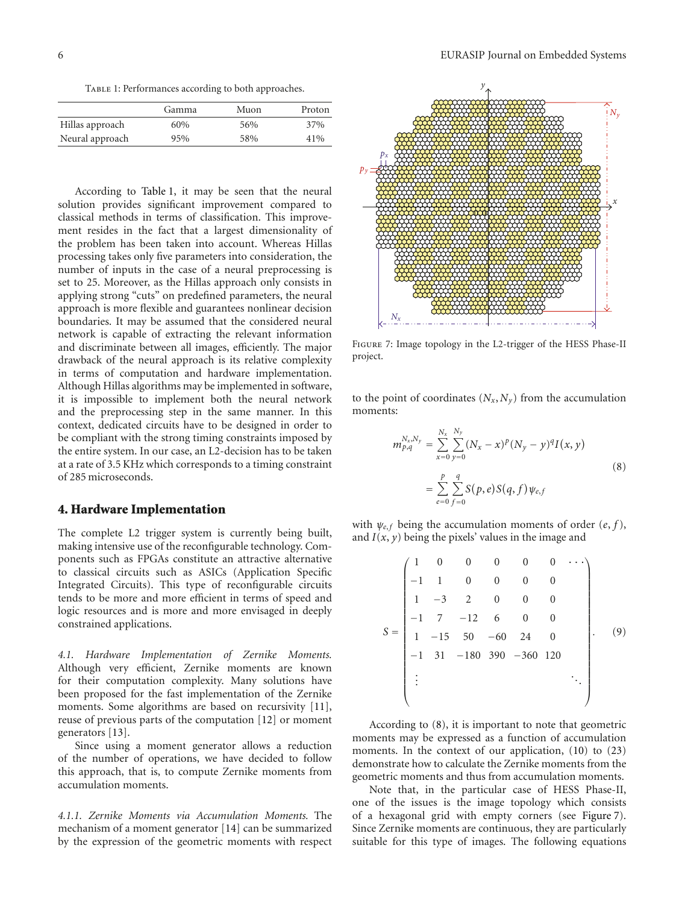TABLE 1: Performances according to both approaches.

|                 | Gamma | Muon | Proton |
|-----------------|-------|------|--------|
| Hillas approach | 60%   | 56%  | 37%    |
| Neural approach | 95%   | 58%  | 41%    |

According to Table 1, it may be seen that the neural solution provides significant improvement compared to classical methods in terms of classification. This improvement resides in the fact that a largest dimensionality of the problem has been taken into account. Whereas Hillas processing takes only five parameters into consideration, the number of inputs in the case of a neural preprocessing is set to 25. Moreover, as the Hillas approach only consists in applying strong "cuts" on predefined parameters, the neural approach is more flexible and guarantees nonlinear decision boundaries. It may be assumed that the considered neural network is capable of extracting the relevant information and discriminate between all images, efficiently. The major drawback of the neural approach is its relative complexity in terms of computation and hardware implementation. Although Hillas algorithms may be implemented in software, it is impossible to implement both the neural network and the preprocessing step in the same manner. In this context, dedicated circuits have to be designed in order to be compliant with the strong timing constraints imposed by the entire system. In our case, an L2-decision has to be taken at a rate of 3.5 KHz which corresponds to a timing constraint of 285 microseconds.

#### **4. Hardware Implementation**

The complete L2 trigger system is currently being built, making intensive use of the reconfigurable technology. Components such as FPGAs constitute an attractive alternative to classical circuits such as ASICs (Application Specific Integrated Circuits). This type of reconfigurable circuits tends to be more and more efficient in terms of speed and logic resources and is more and more envisaged in deeply constrained applications.

*4.1. Hardware Implementation of Zernike Moments.* Although very efficient, Zernike moments are known for their computation complexity. Many solutions have been proposed for the fast implementation of the Zernike moments. Some algorithms are based on recursivity [11], reuse of previous parts of the computation [12] or moment generators [13].

Since using a moment generator allows a reduction of the number of operations, we have decided to follow this approach, that is, to compute Zernike moments from accumulation moments.

*4.1.1. Zernike Moments via Accumulation Moments.* The mechanism of a moment generator [14] can be summarized by the expression of the geometric moments with respect



Figure 7: Image topology in the L2-trigger of the HESS Phase-II project.

to the point of coordinates  $(N_x, N_y)$  from the accumulation moments:

$$
m_{p,q}^{N_x, N_y} = \sum_{x=0}^{N_x} \sum_{y=0}^{N_y} (N_x - x)^p (N_y - y)^q I(x, y)
$$
  
= 
$$
\sum_{e=0}^{p} \sum_{f=0}^{q} S(p, e) S(q, f) \psi_{e,f}
$$
 (8)

with  $\psi_{e,f}$  being the accumulation moments of order  $(e, f)$ , and  $I(x, y)$  being the pixels' values in the image and

$$
S = \begin{pmatrix}\n1 & 0 & 0 & 0 & 0 & 0 & \cdots \\
-1 & 1 & 0 & 0 & 0 & 0 & 0 \\
1 & -3 & 2 & 0 & 0 & 0 \\
-1 & 7 & -12 & 6 & 0 & 0 \\
1 & -15 & 50 & -60 & 24 & 0 \\
-1 & 31 & -180 & 390 & -360 & 120 \\
\vdots & & & & & \ddots\n\end{pmatrix}.
$$
\n(9)

According to (8), it is important to note that geometric moments may be expressed as a function of accumulation moments. In the context of our application, (10) to (23) demonstrate how to calculate the Zernike moments from the geometric moments and thus from accumulation moments.

Note that, in the particular case of HESS Phase-II, one of the issues is the image topology which consists of a hexagonal grid with empty corners (see Figure 7). Since Zernike moments are continuous, they are particularly suitable for this type of images. The following equations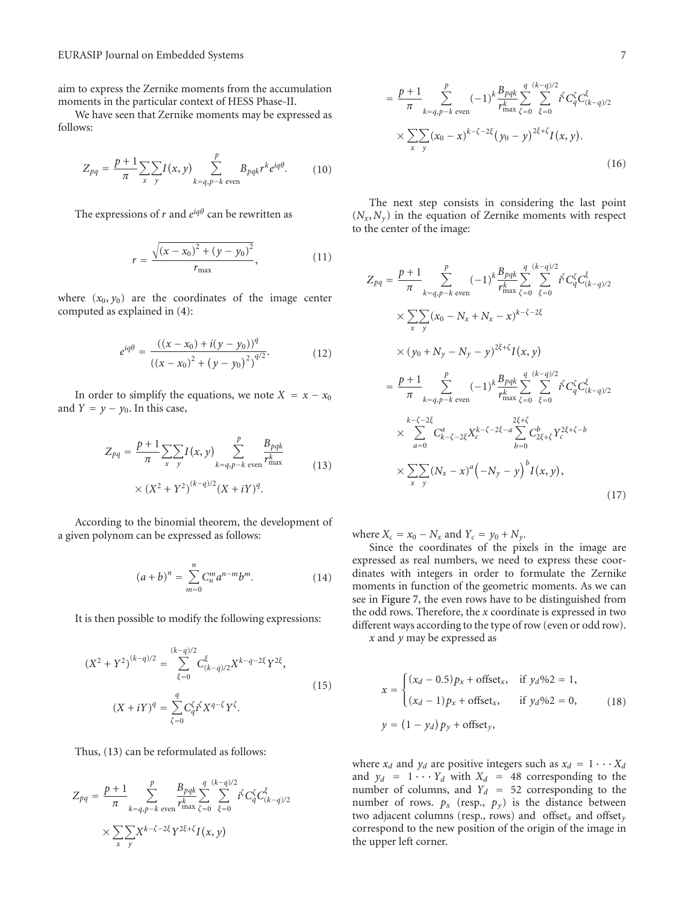aim to express the Zernike moments from the accumulation moments in the particular context of HESS Phase-II.

We have seen that Zernike moments may be expressed as follows:

$$
Z_{pq} = \frac{p+1}{\pi} \sum_{x} \sum_{y} I(x, y) \sum_{k=q, p-k \text{ even}}^{p} B_{pqk} r^k e^{iq\theta}.
$$
 (10)

The expressions of  $r$  and  $e^{iq\theta}$  can be rewritten as

$$
r = \frac{\sqrt{(x - x_0)^2 + (y - y_0)^2}}{r_{\text{max}}},
$$
 (11)

where  $(x_0, y_0)$  are the coordinates of the image center computed as explained in (4):

$$
e^{iq\theta} = \frac{((x - x_0) + i(y - y_0))^q}{((x - x_0)^2 + (y - y_0)^2)^{q/2}}.
$$
 (12)

In order to simplify the equations, we note  $X = x - x_0$ and  $Y = y - y_0$ . In this case,

$$
Z_{pq} = \frac{p+1}{\pi} \sum_{x} \sum_{y} I(x, y) \sum_{k=q, p-k \text{ even}}^{p} \frac{B_{pqk}}{r_{\text{max}}^k}
$$
  
 
$$
\times (X^2 + Y^2)^{(k-q)/2} (X + iY)^q.
$$
 (13)

According to the binomial theorem, the development of a given polynom can be expressed as follows:

$$
(a+b)^n = \sum_{m=0}^n C_n^m a^{n-m} b^m.
$$
 (14)

It is then possible to modify the following expressions:

$$
(X^{2} + Y^{2})^{(k-q)/2} = \sum_{\xi=0}^{(k-q)/2} C_{(k-q)/2}^{\xi} X^{k-q-2\xi} Y^{2\xi},
$$
  

$$
(X + iY)^{q} = \sum_{\xi=0}^{q} C_{q}^{\xi} i^{\xi} X^{q-\xi} Y^{\xi}.
$$
 (15)

Thus, (13) can be reformulated as follows:

$$
Z_{pq} = \frac{p+1}{\pi} \sum_{k=q, p-k \text{ even}}^p \frac{B_{pqk}}{r_{\text{max}}^k} \sum_{\zeta=0}^{q} \sum_{\xi=0}^{(k-q)/2} i^{\zeta} C_q^{\zeta} C_{(k-q)/2}^{\xi}
$$

$$
\times \sum_{x} \sum_{y} X^{k-\zeta-2\xi} Y^{2\xi+\zeta} I(x, y)
$$

$$
= \frac{p+1}{\pi} \sum_{k=q,p-k \text{ even}}^{p} (-1)^{k} \frac{B_{pqk}}{r_{\text{max}}^{k}} \sum_{\zeta=0}^{q} \sum_{\xi=0}^{(k-q)/2} i^{\zeta} C_{q}^{\zeta} C_{(k-q)/2}^{\xi}
$$

$$
\times \sum_{x} \sum_{y} (x_{0} - x)^{k-\zeta-2\xi} (y_{0} - y)^{2\xi+\zeta} I(x, y).
$$
(16)

The next step consists in considering the last point  $(N_x, N_y)$  in the equation of Zernike moments with respect to the center of the image:

$$
Z_{pq} = \frac{p+1}{\pi} \sum_{k=q,p-k \text{ even}}^{p} (-1)^{k} \frac{B_{pqk}}{r_{\text{max}}^{k}} \sum_{\zeta=0}^{q} \sum_{\xi=0}^{(k-q)/2} i^{\zeta} C_{q}^{\zeta} C_{(k-q)/2}^{\xi}
$$
  
\n
$$
\times \sum_{x} \sum_{y} (x_{0} - N_{x} + N_{x} - x)^{k-\zeta-2\xi}
$$
  
\n
$$
\times (y_{0} + N_{y} - N_{y} - y)^{2\xi+\zeta} I(x, y)
$$
  
\n
$$
= \frac{p+1}{\pi} \sum_{k=q,p-k \text{ even}}^{p} (-1)^{k} \frac{B_{pqk}}{r_{\text{max}}^{k}} \sum_{\zeta=0}^{q} \sum_{\xi=0}^{(k-q)/2} i^{\zeta} C_{q}^{\zeta} C_{(k-q)/2}^{\xi}
$$
  
\n
$$
\times \sum_{a=0}^{k-\zeta-2\xi} C_{k-\zeta-2\xi}^{a} X_{c}^{k-\zeta-2\xi-a} \sum_{b=0}^{2\xi+\zeta} C_{2\xi+\zeta}^{b} Y_{c}^{2\xi+\zeta-b}
$$
  
\n
$$
\times \sum_{x} \sum_{y} (N_{x} - x)^{a} (-N_{y} - y)^{b} I(x, y),
$$
  
\n(17)

where  $X_c = x_0 - N_x$  and  $Y_c = y_0 + N_y$ .

Since the coordinates of the pixels in the image are expressed as real numbers, we need to express these coordinates with integers in order to formulate the Zernike moments in function of the geometric moments. As we can see in Figure 7, the even rows have to be distinguished from the odd rows. Therefore, the *x* coordinate is expressed in two different ways according to the type of row (even or odd row).

*x* and *y* may be expressed as

$$
x = \begin{cases} (x_d - 0.5)p_x + \text{offset}_x, & \text{if } y_d\%2 = 1, \\ (x_d - 1)p_x + \text{offset}_x, & \text{if } y_d\%2 = 0, \\ y = (1 - y_d)p_y + \text{offset}_y, \end{cases}
$$
(18)

where  $x_d$  and  $y_d$  are positive integers such as  $x_d = 1 \cdots X_d$ and  $y_d = 1 \cdots Y_d$  with  $X_d = 48$  corresponding to the number of columns, and  $Y_d = 52$  corresponding to the number of rows.  $p_x$  (resp.,  $p_y$ ) is the distance between two adjacent columns (resp., rows) and offset*<sup>x</sup>* and offset*<sup>y</sup>* correspond to the new position of the origin of the image in the upper left corner.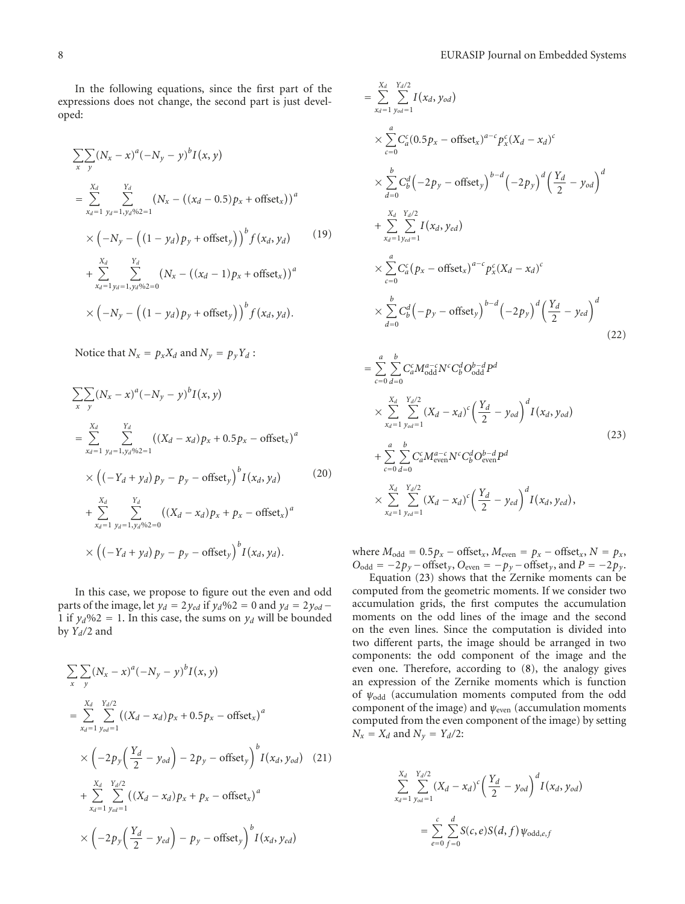In the following equations, since the first part of the expressions does not change, the second part is just developed:

$$
\sum_{x} \sum_{y} (N_x - x)^a (-N_y - y)^b I(x, y)
$$
\n
$$
= \sum_{x_d=1}^{X_d} \sum_{y_d=1, y_d \% 2=1}^{Y_d} (N_x - ((x_d - 0.5) p_x + \text{offset}_x))^a
$$
\n
$$
\times (-N_y - ((1 - y_d) p_y + \text{offset}_y))^b f(x_d, y_d)
$$
\n
$$
+ \sum_{x_d=1, y_d=1, y_d \% 2=0}^{Y_d} (N_x - ((x_d - 1) p_x + \text{offset}_x))^a
$$
\n
$$
\times (-N_y - ((1 - y_d) p_y + \text{offset}_y))^b f(x_d, y_d).
$$
\n(19)

Notice that  $N_x = p_x X_d$  and  $N_y = p_y Y_d$ :

$$
\sum_{x} \sum_{y} (N_x - x)^a (-N_y - y)^b I(x, y)
$$
\n
$$
= \sum_{x_d=1}^{X_d} \sum_{y_d=1, y_d \gg 0}^{Y_d} ((X_d - x_d) p_x + 0.5 p_x - \text{offset}_x)^a
$$
\n
$$
\times \left( (-Y_d + y_d) p_y - p_y - \text{offset}_y \right)^b I(x_d, y_d) \qquad (20)
$$
\n
$$
+ \sum_{x_d=1}^{X_d} \sum_{y_d=1, y_d \gg 0}^{Y_d} ((X_d - x_d) p_x + p_x - \text{offset}_x)^a
$$
\n
$$
\times \left( (-Y_d + y_d) p_y - p_y - \text{offset}_y \right)^b I(x_d, y_d).
$$

In this case, we propose to figure out the even and odd parts of the image, let  $y_d = 2y_{ed}$  if  $y_d\%2 = 0$  and  $y_d = 2y_{od}$ 1 if  $y_d\%2 = 1$ . In this case, the sums on  $y_d$  will be bounded by *Yd/*2 and

$$
\sum_{x} \sum_{y} (N_x - x)^a (-N_y - y)^b I(x, y)
$$
\n
$$
= \sum_{x_d=1}^{X_d} \sum_{y_{od}=1}^{Y_d/2} ((X_d - x_d) p_x + 0.5 p_x - \text{offset}_x)^a
$$
\n
$$
\times \left( -2p_y \left( \frac{Y_d}{2} - y_{od} \right) - 2p_y - \text{offset}_y \right)^b I(x_d, y_{od}) \quad (21)
$$
\n
$$
+ \sum_{x_d=1}^{X_d} \sum_{y_{od}=1}^{Y_d/2} ((X_d - x_d) p_x + p_x - \text{offset}_x)^a
$$
\n
$$
\times \left( -2p_y \left( \frac{Y_d}{2} - y_{ed} \right) - p_y - \text{offset}_y \right)^b I(x_d, y_{ed})
$$

$$
\begin{split}\n&= \sum_{x_d=1}^{X_d} \sum_{y_{od}=1}^{Y_d/2} I(x_d, y_{od}) \\
&\times \sum_{c=0}^{a} C_a^c (0.5 p_x - \text{offset}_x)^{a-c} p_x^c (X_d - x_d)^c \\
&\times \sum_{d=0}^{b} C_b^d \left(-2 p_y - \text{offset}_y\right)^{b-d} \left(-2 p_y\right)^d \left(\frac{Y_d}{2} - y_{od}\right)^d \\
&+ \sum_{x_d=1}^{X_d} \sum_{y_{od}=1}^{Y_d/2} I(x_d, y_{ed}) \\
&\times \sum_{c=0}^{a} C_a^c (p_x - \text{offset}_x)^{a-c} p_x^c (X_d - x_d)^c \\
&\times \sum_{d=0}^{b} C_b^d \left(-p_y - \text{offset}_y\right)^{b-d} \left(-2 p_y\right)^d \left(\frac{Y_d}{2} - y_{ed}\right)^d \\
&= \sum_{d=0}^{a} \sum_{c}^{b} C_a^c M_{\text{odd}}^{a-c} N^c C_b^d O_{\text{odd}}^{b-d} P^d\n\end{split} \tag{22}
$$

$$
= \sum_{c=0}^{n} \sum_{d=0}^{n} C_a^c M_{\text{odd}}^{a-c} N^c C_b^d O_{\text{odd}}^{b-d} P^d
$$
  
\n
$$
\times \sum_{x_d=1}^{X_d} \sum_{y_{od}=1}^{Y_d/2} (X_d - x_d)^c \left(\frac{Y_d}{2} - y_{od}\right)^d I(x_d, y_{od})
$$
  
\n
$$
+ \sum_{c=0}^{a} \sum_{d=0}^{b} C_a^c M_{\text{even}}^{a-c} N^c C_b^d O_{\text{even}}^{b-d} P^d
$$
  
\n
$$
\times \sum_{x_d=1}^{X_d} \sum_{y_{cd}=1}^{Y_d/2} (X_d - x_d)^c \left(\frac{Y_d}{2} - y_{ed}\right)^d I(x_d, y_{ed}),
$$
\n(23)

where  $M_{\text{odd}} = 0.5p_x - \text{offset}_x$ ,  $M_{\text{even}} = p_x - \text{offset}_x$ ,  $N = p_x$ ,  $O_{\text{odd}} = -2p_y - \text{offset}_y, O_{\text{even}} = -p_y - \text{offset}_y, \text{ and } P = -2p_y.$ 

Equation (23) shows that the Zernike moments can be computed from the geometric moments. If we consider two accumulation grids, the first computes the accumulation moments on the odd lines of the image and the second on the even lines. Since the computation is divided into two different parts, the image should be arranged in two components: the odd component of the image and the even one. Therefore, according to (8), the analogy gives an expression of the Zernike moments which is function of *ψ*odd (accumulation moments computed from the odd component of the image) and *ψ*<sub>even</sub> (accumulation moments computed from the even component of the image) by setting  $N_x = X_d$  and  $N_y = Y_d/2$ :

$$
\sum_{x_d=1}^{X_d} \sum_{y_{od}=1}^{Y_d/2} (X_d - x_d)^c \left( \frac{Y_d}{2} - y_{od} \right)^d I(x_d, y_{od})
$$
  
= 
$$
\sum_{e=0}^c \sum_{f=0}^d S(c, e) S(d, f) \psi_{odd, e, f}
$$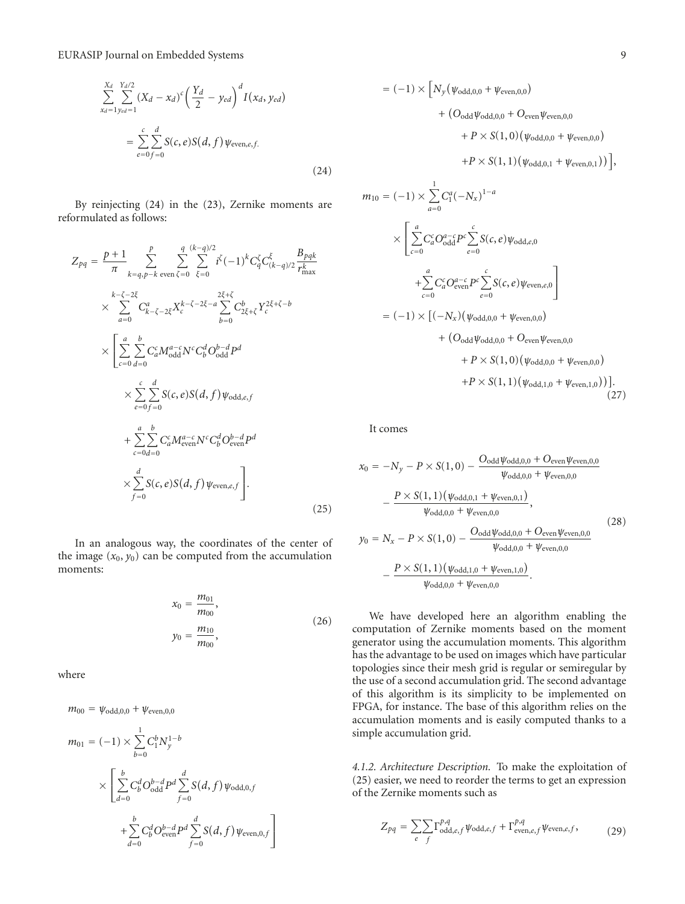$$
\sum_{x_d=1}^{X_d} \sum_{y_{ed}=1}^{Y_d/2} (X_d - x_d)^c \left(\frac{Y_d}{2} - y_{ed}\right)^d I(x_d, y_{ed})
$$
  
= 
$$
\sum_{e=0}^c \sum_{f=0}^d S(c, e) S(d, f) \psi_{even, e, f.}
$$
 (24)

By reinjecting (24) in the (23), Zernike moments are reformulated as follows:

$$
Z_{pq} = \frac{p+1}{\pi} \sum_{k=q,p-k}^{p} \sum_{\text{even } \zeta=0}^{q} \sum_{\xi=0}^{(k-q)/2} i^{\zeta} (-1)^{k} C_{q}^{\zeta} C_{(k-q)/2}^{\xi} \frac{B_{pqk}}{r_{\text{max}}^{k}}
$$
  
\n
$$
\times \sum_{a=0}^{k-\zeta-2\xi} C_{k-\zeta-2\xi}^{a} X_{c}^{k-\zeta-2\xi-a} \sum_{b=0}^{2\xi+\zeta} C_{2\xi+\zeta}^{b} Y_{c}^{2\xi+\zeta-b}
$$
  
\n
$$
\times \left[ \sum_{c=0}^{a} \sum_{d=0}^{b} C_{a}^{c} M_{\text{odd}}^{a-c} N^{c} C_{b}^{d} O_{\text{odd}}^{b-d} P^{d} \right]
$$
  
\n
$$
\times \sum_{e=0}^{c} \sum_{f=0}^{d} S(c, e) S(d, f) \psi_{\text{odd}, e, f}
$$
  
\n
$$
+ \sum_{c=0}^{a} \sum_{d=0}^{b} C_{a}^{c} M_{\text{even}}^{a-c} N^{c} C_{b}^{d} O_{\text{even}}^{b-d} P^{d}
$$
  
\n
$$
\times \sum_{f=0}^{d} S(c, e) S(d, f) \psi_{\text{even}, e, f} \right].
$$
  
\n(25)

In an analogous way, the coordinates of the center of the image  $(x_0, y_0)$  can be computed from the accumulation moments:

$$
x_0 = \frac{m_{01}}{m_{00}},
$$
  

$$
y_0 = \frac{m_{10}}{m_{00}},
$$
 (26)

where

$$
m_{00} = \psi_{\text{odd},0,0} + \psi_{\text{even},0,0}
$$

$$
m_{01} = (-1) \times \sum_{b=0}^{1} C_1^b N_y^{1-b}
$$
  
 
$$
\times \left[ \sum_{d=0}^{b} C_b^d O_{\text{odd}}^{b-d} P^d \sum_{f=0}^d S(d, f) \psi_{\text{odd},0,f} + \sum_{d=0}^b C_b^d O_{\text{even}}^{b-d} P^d \sum_{f=0}^d S(d, f) \psi_{\text{even},0,f} \right]
$$

$$
= (-1) \times \Big[ N_y (\psi_{\text{odd},0,0} + \psi_{\text{even},0,0}) + (O_{\text{odd}} \psi_{\text{odd},0,0} + O_{\text{even}} \psi_{\text{even},0,0} + P \times S(1,0) (\psi_{\text{odd},0,0} + \psi_{\text{even},0,0}) + P \times S(1,1) (\psi_{\text{odd},0,1} + \psi_{\text{even},0,1})) \Big],
$$

$$
m_{10} = (-1) \times \sum_{a=0}^{1} C_1^a (-N_x)^{1-a}
$$
  
\n
$$
\times \left[ \sum_{c=0}^{a} C_6^c O_{\text{odd}}^{a-c} P^c \sum_{e=0}^{c} S(c, e) \psi_{\text{odd}, e, 0} + \sum_{c=0}^{a} C_6^c O_{\text{even}}^{a-c} P^c \sum_{e=0}^{c} S(c, e) \psi_{\text{even}, e, 0} \right]
$$
  
\n
$$
= (-1) \times \left[ (-N_x) (\psi_{\text{odd}, 0, 0} + \psi_{\text{even}, 0, 0}) + (O_{\text{odd}} \psi_{\text{odd}, 0, 0} + O_{\text{even}} \psi_{\text{even}, 0, 0}) + P \times S(1, 0) (\psi_{\text{odd}, 0, 0} + \psi_{\text{even}, 1, 0})) \right].
$$
\n(27)

It comes

$$
x_0 = -N_y - P \times S(1,0) - \frac{O_{odd} \psi_{odd,0,0} + O_{even} \psi_{even,0,0}}{\psi_{odd,0,0} + \psi_{even,0,0}} - \frac{P \times S(1,1) (\psi_{odd,0,1} + \psi_{even,0,1})}{\psi_{odd,0,0} + \psi_{even,0,0}},
$$
  
\n
$$
y_0 = N_x - P \times S(1,0) - \frac{O_{odd} \psi_{odd,0,0} + O_{even} \psi_{even,0,0}}{\psi_{odd,0,0} + \psi_{even,0,0}} - \frac{P \times S(1,1) (\psi_{odd,1,0} + \psi_{even,1,0})}{\psi_{odd,0,0} + \psi_{even,0,0}}.
$$
  
\n(28)

We have developed here an algorithm enabling the computation of Zernike moments based on the moment generator using the accumulation moments. This algorithm has the advantage to be used on images which have particular topologies since their mesh grid is regular or semiregular by the use of a second accumulation grid. The second advantage of this algorithm is its simplicity to be implemented on FPGA, for instance. The base of this algorithm relies on the accumulation moments and is easily computed thanks to a simple accumulation grid.

*4.1.2. Architecture Description.* To make the exploitation of (25) easier, we need to reorder the terms to get an expression of the Zernike moments such as

$$
Z_{pq} = \sum_{e} \sum_{f} \Gamma_{\text{odd},e,f}^{p,q} \psi_{\text{odd},e,f} + \Gamma_{\text{even},e,f}^{p,q} \psi_{\text{even},e,f}, \tag{29}
$$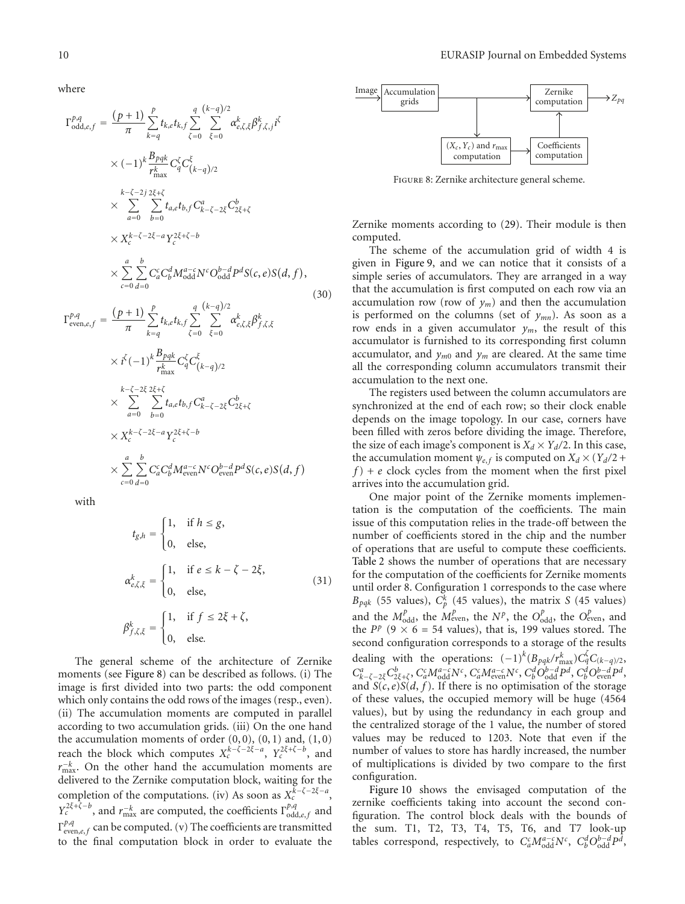where

$$
\Gamma_{odd,e,f}^{p,q} = \frac{(p+1)}{\pi} \sum_{k=q}^{p} t_{k,e} t_{k,f} \sum_{\zeta=0}^{q} \sum_{\xi=0}^{(k-q)/2} \alpha_{e,\zeta,\xi}^{k} \beta_{f,\zeta,j}^{k} i^{\zeta}
$$
  
\n
$$
\times (-1)^{k} \frac{B_{pqk}}{r_{\max}^{k}} C_{q}^{\zeta} C_{(k-q)/2}^{\zeta}
$$
  
\n
$$
\times \sum_{a=0}^{k-\zeta-2} \sum_{b=0}^{2} t_{a,e} t_{b,f} C_{k-\zeta-2\xi}^{a} C_{2\xi+\zeta}^{b}
$$
  
\n
$$
\times X_{c}^{k-\zeta-2\xi-a} Y_{c}^{2\xi+\zeta-b}
$$
  
\n
$$
\times \sum_{c=0}^{a} \sum_{d=0}^{b} C_{a}^{c} C_{b}^{d} M_{\text{odd}}^{a-c} N^{c} O_{\text{odd}}^{b-d} P^{d} S(c, e) S(d, f),
$$
  
\n
$$
\Gamma_{\text{even},e,f}^{p,q} = \frac{(p+1)}{\pi} \sum_{k=q}^{p} t_{k,e} t_{k,f} \sum_{\zeta=0}^{q} \sum_{\xi=0}^{(k-q)/2} \alpha_{e,\zeta,\xi}^{k} \beta_{f,\zeta,\xi}^{k}
$$
  
\n
$$
\times i^{\zeta} (-1)^{k} \frac{B_{pqk}}{r_{\max}^{k}} C_{q}^{\zeta} C_{(k-q)/2}^{\zeta}
$$
  
\n(30)

$$
r_{\max}^{k-\zeta-2\xi} \sum_{q=0}^{2\xi+\zeta} r_{\max}^{k-q} e^{(k-q)/2}
$$
  
\n
$$
\times \sum_{a=0}^{k-\zeta-2\xi} \sum_{b=0}^{2\xi} t_{a,e} t_{b,f} C_{k-\zeta-2\xi}^{a} C_{2\xi+\zeta}^{b}
$$
  
\n
$$
\times X_{c}^{k-\zeta-2\xi-a} Y_{c}^{2\xi+\zeta-b}
$$
  
\n
$$
\times \sum_{c=0}^{a} \sum_{d=0}^{b} C_{a}^{c} C_{b}^{d} M_{\text{even}}^{a-c} N^{c} O_{\text{even}}^{b-d} P^{d} S(c, e) S(d, f)
$$

with

$$
t_{g,h} = \begin{cases} 1, & \text{if } h \le g, \\ 0, & \text{else,} \end{cases}
$$
  

$$
\alpha_{e,\zeta,\xi}^k = \begin{cases} 1, & \text{if } e \le k - \zeta - 2\xi, \\ 0, & \text{else,} \end{cases}
$$
  

$$
\beta_{f,\zeta,\xi}^k = \begin{cases} 1, & \text{if } f \le 2\xi + \zeta, \\ 0, & \text{else.} \end{cases}
$$
  
(31)

The general scheme of the architecture of Zernike moments (see Figure 8) can be described as follows. (i) The image is first divided into two parts: the odd component which only contains the odd rows of the images (resp., even). (ii) The accumulation moments are computed in parallel according to two accumulation grids. (iii) On the one hand the accumulation moments of order  $(0, 0)$ ,  $(0, 1)$  and,  $(1, 0)$ reach the block which computes  $X_c^{k-\zeta-2\xi-a}$ ,  $Y_c^{2\xi+\zeta-b}$ , and  $r_{\text{max}}^{-k}$ . On the other hand the accumulation moments are delivered to the Zernike computation block, waiting for the completion of the computations. (iv) As soon as  $X_c^{k-\zeta-2\xi-a}$ , *Y*<sub>*c*</sub><sup>2*ξ*+*ζ*−*b*</sup>, and *r*<sub>max</sub> are computed, the coefficients  $\Gamma^{p,q}_{odd,e,f}$  and Γ*<sup>p</sup>*,*<sup>q</sup>* even,*e*, *<sup>f</sup>* can be computed. (v) The coefficients are transmitted to the final computation block in order to evaluate the



Figure 8: Zernike architecture general scheme.

Zernike moments according to (29). Their module is then computed.

The scheme of the accumulation grid of width 4 is given in Figure 9, and we can notice that it consists of a simple series of accumulators. They are arranged in a way that the accumulation is first computed on each row via an accumulation row (row of  $y_m$ ) and then the accumulation is performed on the columns (set of *ymn*). As soon as a row ends in a given accumulator  $y_m$ , the result of this accumulator is furnished to its corresponding first column accumulator, and  $y_{m0}$  and  $y_m$  are cleared. At the same time all the corresponding column accumulators transmit their accumulation to the next one.

The registers used between the column accumulators are synchronized at the end of each row; so their clock enable depends on the image topology. In our case, corners have been filled with zeros before dividing the image. Therefore, the size of each image's component is  $X_d \times Y_d/2$ . In this case, the accumulation moment  $\psi_{e,f}$  is computed on  $X_d \times (Y_d/2 +$ *f* ) + *e* clock cycles from the moment when the first pixel arrives into the accumulation grid.

One major point of the Zernike moments implementation is the computation of the coefficients. The main issue of this computation relies in the trade-off between the number of coefficients stored in the chip and the number of operations that are useful to compute these coefficients. Table 2 shows the number of operations that are necessary for the computation of the coefficients for Zernike moments until order 8. Configuration 1 corresponds to the case where  $B_{pqk}$  (55 values),  $C_p^k$  (45 values), the matrix *S* (45 values) and the  $M_{\text{odd}}^p$ , the  $M_{\text{even}}^p$ , the  $N^p$ , the  $O_{\text{odd}}^p$ , the  $O_{\text{even}}^p$ , and the *P*<sup>*p*</sup> (9  $\times$  6 = 54 values), that is, 199 values stored. The second configuration corresponds to a storage of the results dealing with the operations:  $(-1)^k (B_{pqk}/r_{\text{max}}^k) C_q^k C_{(k-q)/2}$ ,  $C_{k-\zeta-2\xi}^a C_{2\xi+\zeta}^b, C_a^c M_{\text{odd}}^{a-c} N^c, C_a^c M_{\text{even}}^{a-c} N^c, C_b^d O_{\text{odd}}^{b-d} P^d, C_b^d O_{\text{even}}^{b-d} P^d,$ and  $S(c, e)S(d, f)$ . If there is no optimisation of the storage of these values, the occupied memory will be huge (4564 values), but by using the redundancy in each group and the centralized storage of the 1 value, the number of stored values may be reduced to 1203. Note that even if the number of values to store has hardly increased, the number of multiplications is divided by two compare to the first configuration.

Figure 10 shows the envisaged computation of the zernike coefficients taking into account the second configuration. The control block deals with the bounds of the sum. T1, T2, T3, T4, T5, T6, and T7 look-up tables correspond, respectively, to  $C_a^c M_{\text{odd}}^{a-c} N^c$ ,  $C_b^d O_{\text{odd}}^{b-d} P^d$ ,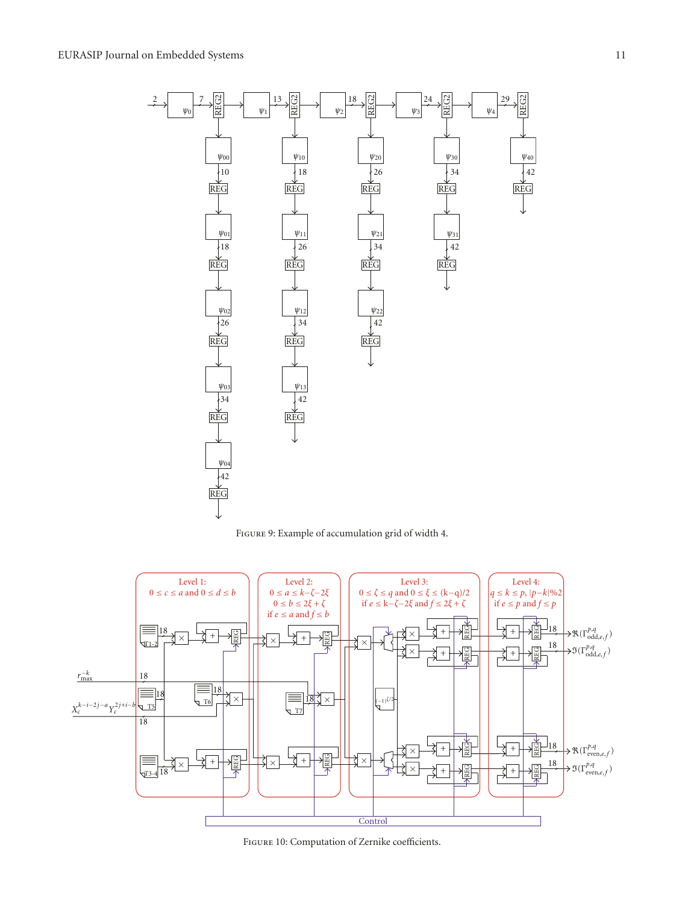

Figure 9: Example of accumulation grid of width 4.



Figure 10: Computation of Zernike coefficients.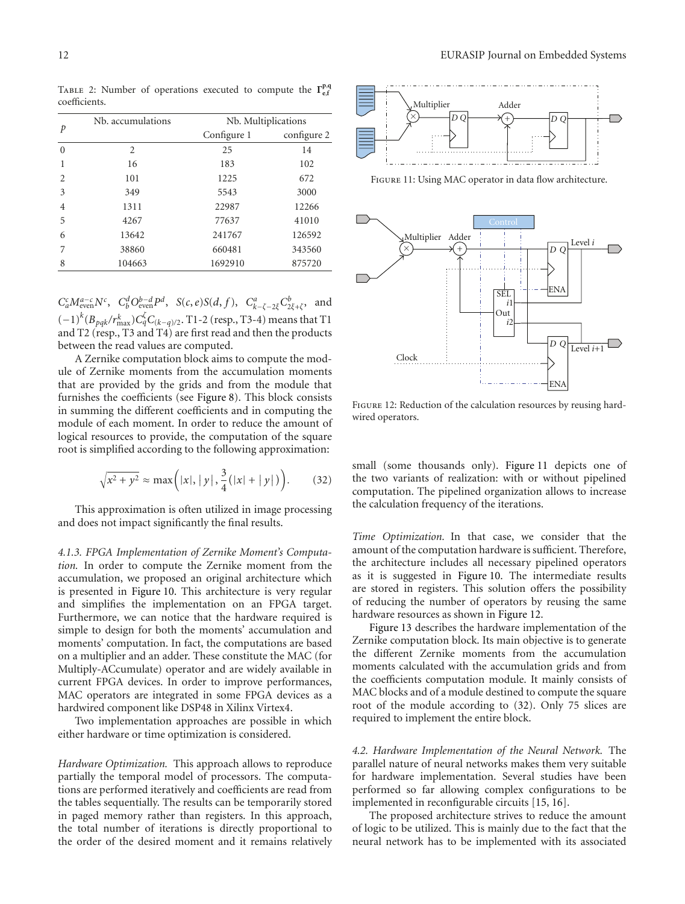Table 2: Number of operations executed to compute the **Γ<sup>p</sup>**,**<sup>q</sup> e**,**f** coefficients.

|                               | Nb. accumulations | Nb. Multiplications |             |  |
|-------------------------------|-------------------|---------------------|-------------|--|
| p                             |                   | Configure 1         | configure 2 |  |
| $\Omega$                      | 2                 | 25                  | 14          |  |
| 1                             | 16                | 183                 | 102         |  |
| $\mathfrak{D}_{\mathfrak{p}}$ | 101               | 1225                | 672         |  |
| 3                             | 349               | 5543                | 3000        |  |
| 4                             | 1311              | 22987               | 12266       |  |
| 5                             | 4267              | 77637               | 41010       |  |
| 6                             | 13642             | 241767              | 126592      |  |
| 7                             | 38860             | 660481              | 343560      |  |
| 8                             | 104663            | 1692910             | 875720      |  |

 $C_a^c M_{\text{even}}^{a-c} N^c$ ,  $C_b^d O_{\text{even}}^{b-d} P^d$ ,  $S(c, e) S(d, f)$ ,  $C_{k-\zeta-2\xi}^a C_{2\xi+\zeta}^b$ , and (−1)*<sup>k</sup>* (*Bpqk/r<sup>k</sup>* max)*C<sup>ζ</sup> qC*(*k*−*q*)*/*2. T1-2 (resp., T3-4) means that T1 and T2 (resp., T3 and T4) are first read and then the products between the read values are computed.

A Zernike computation block aims to compute the module of Zernike moments from the accumulation moments that are provided by the grids and from the module that furnishes the coefficients (see Figure 8). This block consists in summing the different coefficients and in computing the module of each moment. In order to reduce the amount of logical resources to provide, the computation of the square root is simplified according to the following approximation:

$$
\sqrt{x^2 + y^2} \approx \max\left(|x|, |y|, \frac{3}{4}(|x| + |y|)\right).
$$
 (32)

This approximation is often utilized in image processing and does not impact significantly the final results.

*4.1.3. FPGA Implementation of Zernike Moment's Computation.* In order to compute the Zernike moment from the accumulation, we proposed an original architecture which is presented in Figure 10. This architecture is very regular and simplifies the implementation on an FPGA target. Furthermore, we can notice that the hardware required is simple to design for both the moments' accumulation and moments' computation. In fact, the computations are based on a multiplier and an adder. These constitute the MAC (for Multiply-ACcumulate) operator and are widely available in current FPGA devices. In order to improve performances, MAC operators are integrated in some FPGA devices as a hardwired component like DSP48 in Xilinx Virtex4.

Two implementation approaches are possible in which either hardware or time optimization is considered.

*Hardware Optimization.* This approach allows to reproduce partially the temporal model of processors. The computations are performed iteratively and coefficients are read from the tables sequentially. The results can be temporarily stored in paged memory rather than registers. In this approach, the total number of iterations is directly proportional to the order of the desired moment and it remains relatively



FIGURE 11: Using MAC operator in data flow architecture.



FIGURE 12: Reduction of the calculation resources by reusing hardwired operators.

small (some thousands only). Figure 11 depicts one of the two variants of realization: with or without pipelined computation. The pipelined organization allows to increase the calculation frequency of the iterations.

*Time Optimization.* In that case, we consider that the amount of the computation hardware is sufficient. Therefore, the architecture includes all necessary pipelined operators as it is suggested in Figure 10. The intermediate results are stored in registers. This solution offers the possibility of reducing the number of operators by reusing the same hardware resources as shown in Figure 12.

Figure 13 describes the hardware implementation of the Zernike computation block. Its main objective is to generate the different Zernike moments from the accumulation moments calculated with the accumulation grids and from the coefficients computation module. It mainly consists of MAC blocks and of a module destined to compute the square root of the module according to (32). Only 75 slices are required to implement the entire block.

*4.2. Hardware Implementation of the Neural Network.* The parallel nature of neural networks makes them very suitable for hardware implementation. Several studies have been performed so far allowing complex configurations to be implemented in reconfigurable circuits [15, 16].

The proposed architecture strives to reduce the amount of logic to be utilized. This is mainly due to the fact that the neural network has to be implemented with its associated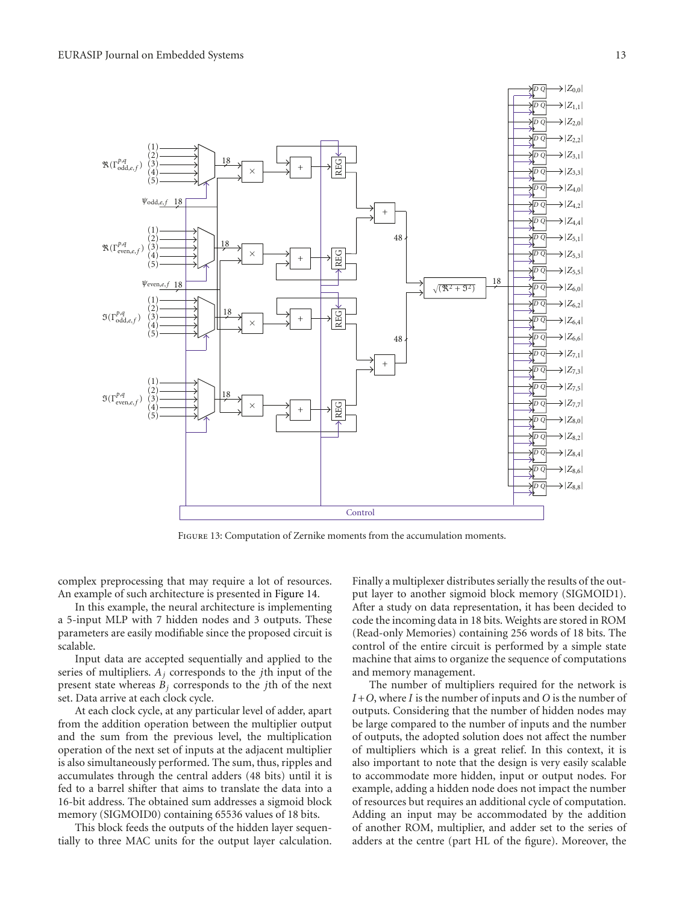

Figure 13: Computation of Zernike moments from the accumulation moments.

complex preprocessing that may require a lot of resources. An example of such architecture is presented in Figure 14.

In this example, the neural architecture is implementing a 5-input MLP with 7 hidden nodes and 3 outputs. These parameters are easily modifiable since the proposed circuit is scalable.

Input data are accepted sequentially and applied to the series of multipliers. *Aj* corresponds to the *j*th input of the present state whereas  $B_i$  corresponds to the *j*th of the next set. Data arrive at each clock cycle.

At each clock cycle, at any particular level of adder, apart from the addition operation between the multiplier output and the sum from the previous level, the multiplication operation of the next set of inputs at the adjacent multiplier is also simultaneously performed. The sum, thus, ripples and accumulates through the central adders (48 bits) until it is fed to a barrel shifter that aims to translate the data into a 16-bit address. The obtained sum addresses a sigmoid block memory (SIGMOID0) containing 65536 values of 18 bits.

This block feeds the outputs of the hidden layer sequentially to three MAC units for the output layer calculation.

Finally a multiplexer distributes serially the results of the output layer to another sigmoid block memory (SIGMOID1). After a study on data representation, it has been decided to code the incoming data in 18 bits. Weights are stored in ROM (Read-only Memories) containing 256 words of 18 bits. The control of the entire circuit is performed by a simple state machine that aims to organize the sequence of computations and memory management.

The number of multipliers required for the network is *I* +*O*, where *I* is the number of inputs and *O* is the number of outputs. Considering that the number of hidden nodes may be large compared to the number of inputs and the number of outputs, the adopted solution does not affect the number of multipliers which is a great relief. In this context, it is also important to note that the design is very easily scalable to accommodate more hidden, input or output nodes. For example, adding a hidden node does not impact the number of resources but requires an additional cycle of computation. Adding an input may be accommodated by the addition of another ROM, multiplier, and adder set to the series of adders at the centre (part HL of the figure). Moreover, the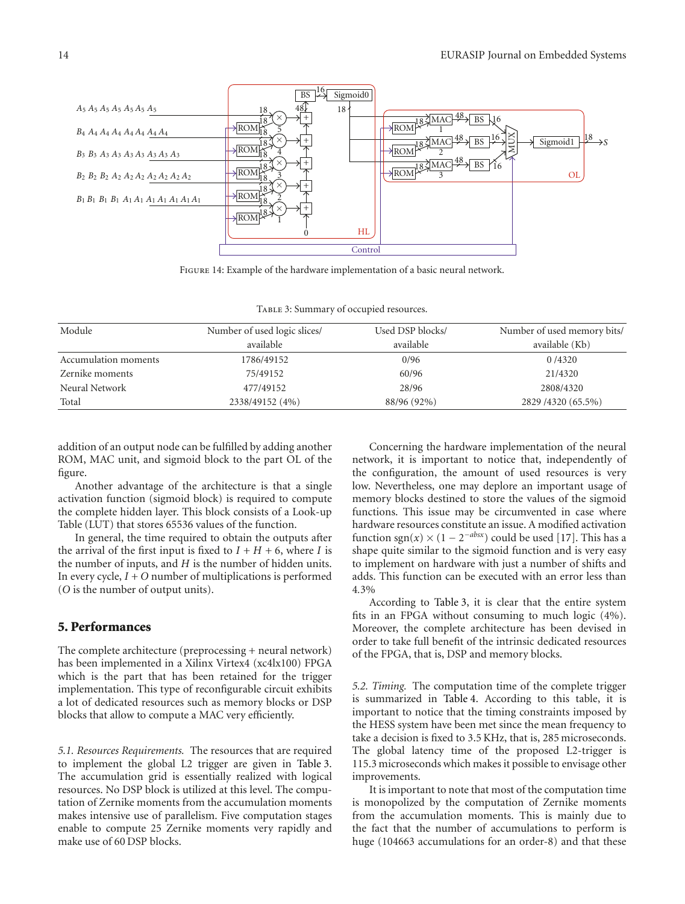

Figure 14: Example of the hardware implementation of a basic neural network.

Table 3: Summary of occupied resources.

| Module               | Number of used logic slices/ | Used DSP blocks/ | Number of used memory bits/ |
|----------------------|------------------------------|------------------|-----------------------------|
|                      | available                    | available        | available (Kb)              |
| Accumulation moments | 1786/49152                   | 0/96             | 0/4320                      |
| Zernike moments      | 75/49152                     | 60/96            | 21/4320                     |
| Neural Network       | 477/49152                    | 28/96            | 2808/4320                   |
| Total                | 2338/49152 (4%)              | 88/96 (92%)      | 2829 / 4320 (65.5%)         |

addition of an output node can be fulfilled by adding another ROM, MAC unit, and sigmoid block to the part OL of the figure.

Another advantage of the architecture is that a single activation function (sigmoid block) is required to compute the complete hidden layer. This block consists of a Look-up Table (LUT) that stores 65536 values of the function.

In general, the time required to obtain the outputs after the arrival of the first input is fixed to  $I + H + 6$ , where *I* is the number of inputs, and *H* is the number of hidden units. In every cycle,  $I + O$  number of multiplications is performed (*O* is the number of output units).

# **5. Performances**

The complete architecture (preprocessing + neural network) has been implemented in a Xilinx Virtex4 (xc4lx100) FPGA which is the part that has been retained for the trigger implementation. This type of reconfigurable circuit exhibits a lot of dedicated resources such as memory blocks or DSP blocks that allow to compute a MAC very efficiently.

*5.1. Resources Requirements.* The resources that are required to implement the global L2 trigger are given in Table 3. The accumulation grid is essentially realized with logical resources. No DSP block is utilized at this level. The computation of Zernike moments from the accumulation moments makes intensive use of parallelism. Five computation stages enable to compute 25 Zernike moments very rapidly and make use of 60 DSP blocks.

Concerning the hardware implementation of the neural network, it is important to notice that, independently of the configuration, the amount of used resources is very low. Nevertheless, one may deplore an important usage of memory blocks destined to store the values of the sigmoid functions. This issue may be circumvented in case where hardware resources constitute an issue. A modified activation function sgn( $x$ ) × (1 – 2<sup>*-absx*</sup>) could be used [17]. This has a shape quite similar to the sigmoid function and is very easy to implement on hardware with just a number of shifts and adds. This function can be executed with an error less than 4*.*3%

According to Table 3, it is clear that the entire system fits in an FPGA without consuming to much logic (4%). Moreover, the complete architecture has been devised in order to take full benefit of the intrinsic dedicated resources of the FPGA, that is, DSP and memory blocks.

*5.2. Timing.* The computation time of the complete trigger is summarized in Table 4. According to this table, it is important to notice that the timing constraints imposed by the HESS system have been met since the mean frequency to take a decision is fixed to 3.5 KHz, that is, 285 microseconds. The global latency time of the proposed L2-trigger is 115.3 microseconds which makes it possible to envisage other improvements.

It is important to note that most of the computation time is monopolized by the computation of Zernike moments from the accumulation moments. This is mainly due to the fact that the number of accumulations to perform is huge (104663 accumulations for an order-8) and that these